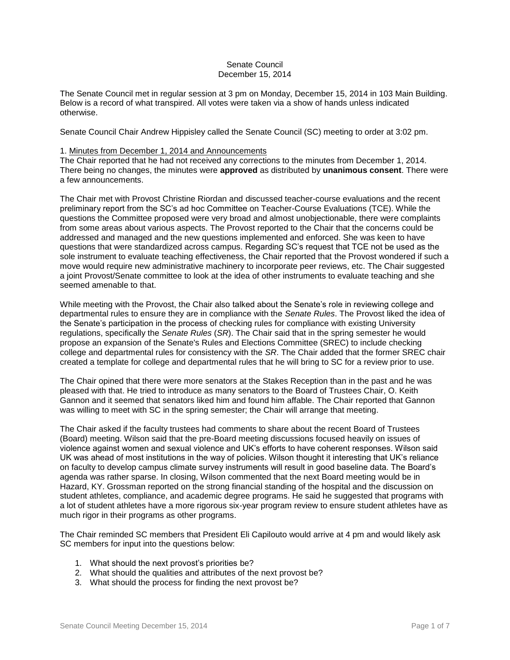## Senate Council December 15, 2014

The Senate Council met in regular session at 3 pm on Monday, December 15, 2014 in 103 Main Building. Below is a record of what transpired. All votes were taken via a show of hands unless indicated otherwise.

Senate Council Chair Andrew Hippisley called the Senate Council (SC) meeting to order at 3:02 pm.

#### 1. Minutes from December 1, 2014 and Announcements

The Chair reported that he had not received any corrections to the minutes from December 1, 2014. There being no changes, the minutes were **approved** as distributed by **unanimous consent**. There were a few announcements.

The Chair met with Provost Christine Riordan and discussed teacher-course evaluations and the recent preliminary report from the SC's ad hoc Committee on Teacher-Course Evaluations (TCE). While the questions the Committee proposed were very broad and almost unobjectionable, there were complaints from some areas about various aspects. The Provost reported to the Chair that the concerns could be addressed and managed and the new questions implemented and enforced. She was keen to have questions that were standardized across campus. Regarding SC's request that TCE not be used as the sole instrument to evaluate teaching effectiveness, the Chair reported that the Provost wondered if such a move would require new administrative machinery to incorporate peer reviews, etc. The Chair suggested a joint Provost/Senate committee to look at the idea of other instruments to evaluate teaching and she seemed amenable to that.

While meeting with the Provost, the Chair also talked about the Senate's role in reviewing college and departmental rules to ensure they are in compliance with the *Senate Rules*. The Provost liked the idea of the Senate's participation in the process of checking rules for compliance with existing University regulations, specifically the *Senate Rules* (*SR*). The Chair said that in the spring semester he would propose an expansion of the Senate's Rules and Elections Committee (SREC) to include checking college and departmental rules for consistency with the *SR*. The Chair added that the former SREC chair created a template for college and departmental rules that he will bring to SC for a review prior to use.

The Chair opined that there were more senators at the Stakes Reception than in the past and he was pleased with that. He tried to introduce as many senators to the Board of Trustees Chair, O. Keith Gannon and it seemed that senators liked him and found him affable. The Chair reported that Gannon was willing to meet with SC in the spring semester; the Chair will arrange that meeting.

The Chair asked if the faculty trustees had comments to share about the recent Board of Trustees (Board) meeting. Wilson said that the pre-Board meeting discussions focused heavily on issues of violence against women and sexual violence and UK's efforts to have coherent responses. Wilson said UK was ahead of most institutions in the way of policies. Wilson thought it interesting that UK's reliance on faculty to develop campus climate survey instruments will result in good baseline data. The Board's agenda was rather sparse. In closing, Wilson commented that the next Board meeting would be in Hazard, KY. Grossman reported on the strong financial standing of the hospital and the discussion on student athletes, compliance, and academic degree programs. He said he suggested that programs with a lot of student athletes have a more rigorous six-year program review to ensure student athletes have as much rigor in their programs as other programs.

The Chair reminded SC members that President Eli Capilouto would arrive at 4 pm and would likely ask SC members for input into the questions below:

- 1. What should the next provost's priorities be?
- 2. What should the qualities and attributes of the next provost be?
- 3. What should the process for finding the next provost be?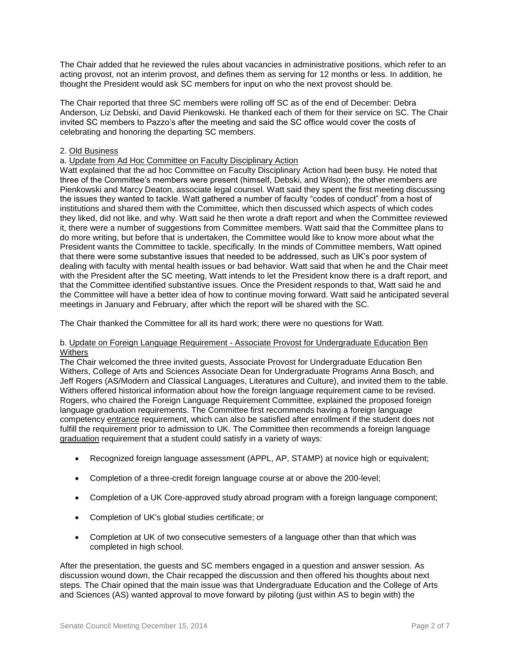The Chair added that he reviewed the rules about vacancies in administrative positions, which refer to an acting provost, not an interim provost, and defines them as serving for 12 months or less. In addition, he thought the President would ask SC members for input on who the next provost should be.

The Chair reported that three SC members were rolling off SC as of the end of December: Debra Anderson, Liz Debski, and David Pienkowski. He thanked each of them for their service on SC. The Chair invited SC members to Pazzo's after the meeting and said the SC office would cover the costs of celebrating and honoring the departing SC members.

# 2. Old Business

a. Update from Ad Hoc Committee on Faculty Disciplinary Action

Watt explained that the ad hoc Committee on Faculty Disciplinary Action had been busy. He noted that three of the Committee's members were present (himself, Debski, and Wilson); the other members are Pienkowski and Marcy Deaton, associate legal counsel. Watt said they spent the first meeting discussing the issues they wanted to tackle. Watt gathered a number of faculty "codes of conduct" from a host of institutions and shared them with the Committee, which then discussed which aspects of which codes they liked, did not like, and why. Watt said he then wrote a draft report and when the Committee reviewed it, there were a number of suggestions from Committee members. Watt said that the Committee plans to do more writing, but before that is undertaken, the Committee would like to know more about what the President wants the Committee to tackle, specifically. In the minds of Committee members, Watt opined that there were some substantive issues that needed to be addressed, such as UK's poor system of dealing with faculty with mental health issues or bad behavior. Watt said that when he and the Chair meet with the President after the SC meeting, Watt intends to let the President know there is a draft report, and that the Committee identified substantive issues. Once the President responds to that, Watt said he and the Committee will have a better idea of how to continue moving forward. Watt said he anticipated several meetings in January and February, after which the report will be shared with the SC.

The Chair thanked the Committee for all its hard work; there were no questions for Watt.

## b. Update on Foreign Language Requirement - Associate Provost for Undergraduate Education Ben **Withers**

The Chair welcomed the three invited guests, Associate Provost for Undergraduate Education Ben Withers, College of Arts and Sciences Associate Dean for Undergraduate Programs Anna Bosch, and Jeff Rogers (AS/Modern and Classical Languages, Literatures and Culture), and invited them to the table. Withers offered historical information about how the foreign language requirement came to be revised. Rogers, who chaired the Foreign Language Requirement Committee, explained the proposed foreign language graduation requirements. The Committee first recommends having a foreign language competency entrance requirement, which can also be satisfied after enrollment if the student does not fulfill the requirement prior to admission to UK. The Committee then recommends a foreign language graduation requirement that a student could satisfy in a variety of ways:

- Recognized foreign language assessment (APPL, AP, STAMP) at novice high or equivalent;
- Completion of a three-credit foreign language course at or above the 200-level;
- Completion of a UK Core-approved study abroad program with a foreign language component;
- Completion of UK's global studies certificate; or
- Completion at UK of two consecutive semesters of a language other than that which was completed in high school.

After the presentation, the guests and SC members engaged in a question and answer session. As discussion wound down, the Chair recapped the discussion and then offered his thoughts about next steps. The Chair opined that the main issue was that Undergraduate Education and the College of Arts and Sciences (AS) wanted approval to move forward by piloting (just within AS to begin with) the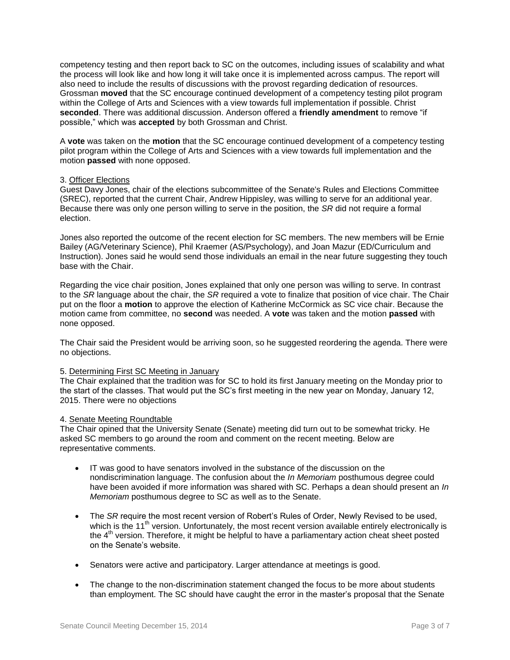competency testing and then report back to SC on the outcomes, including issues of scalability and what the process will look like and how long it will take once it is implemented across campus. The report will also need to include the results of discussions with the provost regarding dedication of resources. Grossman **moved** that the SC encourage continued development of a competency testing pilot program within the College of Arts and Sciences with a view towards full implementation if possible. Christ **seconded**. There was additional discussion. Anderson offered a **friendly amendment** to remove "if possible," which was **accepted** by both Grossman and Christ.

A **vote** was taken on the **motion** that the SC encourage continued development of a competency testing pilot program within the College of Arts and Sciences with a view towards full implementation and the motion **passed** with none opposed.

## 3. Officer Elections

Guest Davy Jones, chair of the elections subcommittee of the Senate's Rules and Elections Committee (SREC), reported that the current Chair, Andrew Hippisley, was willing to serve for an additional year. Because there was only one person willing to serve in the position, the *SR* did not require a formal election.

Jones also reported the outcome of the recent election for SC members. The new members will be Ernie Bailey (AG/Veterinary Science), Phil Kraemer (AS/Psychology), and Joan Mazur (ED/Curriculum and Instruction). Jones said he would send those individuals an email in the near future suggesting they touch base with the Chair.

Regarding the vice chair position, Jones explained that only one person was willing to serve. In contrast to the *SR* language about the chair, the *SR* required a vote to finalize that position of vice chair. The Chair put on the floor a **motion** to approve the election of Katherine McCormick as SC vice chair. Because the motion came from committee, no **second** was needed. A **vote** was taken and the motion **passed** with none opposed.

The Chair said the President would be arriving soon, so he suggested reordering the agenda. There were no objections.

## 5. Determining First SC Meeting in January

The Chair explained that the tradition was for SC to hold its first January meeting on the Monday prior to the start of the classes. That would put the SC's first meeting in the new year on Monday, January 12, 2015. There were no objections

#### 4. Senate Meeting Roundtable

The Chair opined that the University Senate (Senate) meeting did turn out to be somewhat tricky. He asked SC members to go around the room and comment on the recent meeting. Below are representative comments.

- IT was good to have senators involved in the substance of the discussion on the nondiscrimination language. The confusion about the *In Memoriam* posthumous degree could have been avoided if more information was shared with SC. Perhaps a dean should present an *In Memoriam* posthumous degree to SC as well as to the Senate.
- The *SR* require the most recent version of Robert's Rules of Order, Newly Revised to be used, which is the 11<sup>th</sup> version. Unfortunately, the most recent version available entirely electronically is the 4<sup>th</sup> version. Therefore, it might be helpful to have a parliamentary action cheat sheet posted on the Senate's website.
- Senators were active and participatory. Larger attendance at meetings is good.
- The change to the non-discrimination statement changed the focus to be more about students than employment. The SC should have caught the error in the master's proposal that the Senate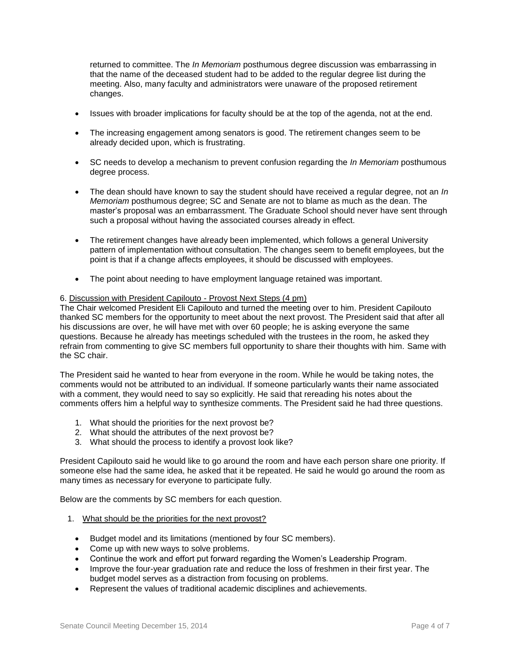returned to committee. The *In Memoriam* posthumous degree discussion was embarrassing in that the name of the deceased student had to be added to the regular degree list during the meeting. Also, many faculty and administrators were unaware of the proposed retirement changes.

- Issues with broader implications for faculty should be at the top of the agenda, not at the end.
- The increasing engagement among senators is good. The retirement changes seem to be already decided upon, which is frustrating.
- SC needs to develop a mechanism to prevent confusion regarding the *In Memoriam* posthumous degree process.
- The dean should have known to say the student should have received a regular degree, not an *In Memoriam* posthumous degree; SC and Senate are not to blame as much as the dean. The master's proposal was an embarrassment. The Graduate School should never have sent through such a proposal without having the associated courses already in effect.
- The retirement changes have already been implemented, which follows a general University pattern of implementation without consultation. The changes seem to benefit employees, but the point is that if a change affects employees, it should be discussed with employees.
- The point about needing to have employment language retained was important.

## 6. Discussion with President Capilouto - Provost Next Steps (4 pm)

The Chair welcomed President Eli Capilouto and turned the meeting over to him. President Capilouto thanked SC members for the opportunity to meet about the next provost. The President said that after all his discussions are over, he will have met with over 60 people; he is asking everyone the same questions. Because he already has meetings scheduled with the trustees in the room, he asked they refrain from commenting to give SC members full opportunity to share their thoughts with him. Same with the SC chair.

The President said he wanted to hear from everyone in the room. While he would be taking notes, the comments would not be attributed to an individual. If someone particularly wants their name associated with a comment, they would need to say so explicitly. He said that rereading his notes about the comments offers him a helpful way to synthesize comments. The President said he had three questions.

- 1. What should the priorities for the next provost be?
- 2. What should the attributes of the next provost be?
- 3. What should the process to identify a provost look like?

President Capilouto said he would like to go around the room and have each person share one priority. If someone else had the same idea, he asked that it be repeated. He said he would go around the room as many times as necessary for everyone to participate fully.

Below are the comments by SC members for each question.

- 1. What should be the priorities for the next provost?
	- Budget model and its limitations (mentioned by four SC members).
	- Come up with new ways to solve problems.
	- Continue the work and effort put forward regarding the Women's Leadership Program.
	- Improve the four-year graduation rate and reduce the loss of freshmen in their first year. The budget model serves as a distraction from focusing on problems.
	- Represent the values of traditional academic disciplines and achievements.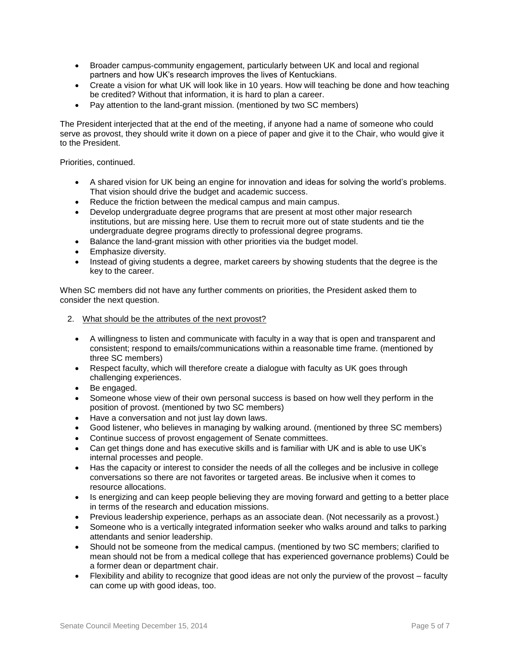- Broader campus-community engagement, particularly between UK and local and regional partners and how UK's research improves the lives of Kentuckians.
- Create a vision for what UK will look like in 10 years. How will teaching be done and how teaching be credited? Without that information, it is hard to plan a career.
- Pay attention to the land-grant mission. (mentioned by two SC members)

The President interjected that at the end of the meeting, if anyone had a name of someone who could serve as provost, they should write it down on a piece of paper and give it to the Chair, who would give it to the President.

Priorities, continued.

- A shared vision for UK being an engine for innovation and ideas for solving the world's problems. That vision should drive the budget and academic success.
- Reduce the friction between the medical campus and main campus.
- Develop undergraduate degree programs that are present at most other major research institutions, but are missing here. Use them to recruit more out of state students and tie the undergraduate degree programs directly to professional degree programs.
- Balance the land-grant mission with other priorities via the budget model.
- **•** Emphasize diversity.
- Instead of giving students a degree, market careers by showing students that the degree is the key to the career.

When SC members did not have any further comments on priorities, the President asked them to consider the next question.

- 2. What should be the attributes of the next provost?
	- A willingness to listen and communicate with faculty in a way that is open and transparent and consistent; respond to emails/communications within a reasonable time frame. (mentioned by three SC members)
	- Respect faculty, which will therefore create a dialogue with faculty as UK goes through challenging experiences.
	- Be engaged.
	- Someone whose view of their own personal success is based on how well they perform in the position of provost. (mentioned by two SC members)
	- Have a conversation and not just lay down laws.
	- Good listener, who believes in managing by walking around. (mentioned by three SC members)
	- Continue success of provost engagement of Senate committees.
	- Can get things done and has executive skills and is familiar with UK and is able to use UK's internal processes and people.
	- Has the capacity or interest to consider the needs of all the colleges and be inclusive in college conversations so there are not favorites or targeted areas. Be inclusive when it comes to resource allocations.
	- Is energizing and can keep people believing they are moving forward and getting to a better place in terms of the research and education missions.
	- Previous leadership experience, perhaps as an associate dean. (Not necessarily as a provost.)
	- Someone who is a vertically integrated information seeker who walks around and talks to parking attendants and senior leadership.
	- Should not be someone from the medical campus. (mentioned by two SC members; clarified to mean should not be from a medical college that has experienced governance problems) Could be a former dean or department chair.
	- Flexibility and ability to recognize that good ideas are not only the purview of the provost faculty can come up with good ideas, too.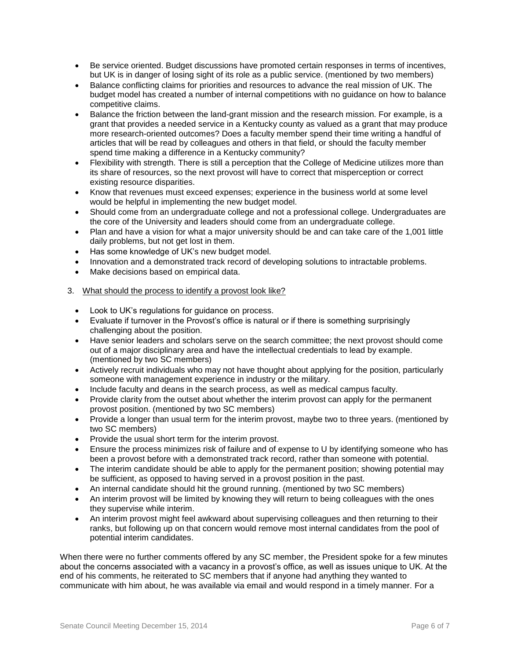- Be service oriented. Budget discussions have promoted certain responses in terms of incentives, but UK is in danger of losing sight of its role as a public service. (mentioned by two members)
- Balance conflicting claims for priorities and resources to advance the real mission of UK. The budget model has created a number of internal competitions with no guidance on how to balance competitive claims.
- Balance the friction between the land-grant mission and the research mission. For example, is a grant that provides a needed service in a Kentucky county as valued as a grant that may produce more research-oriented outcomes? Does a faculty member spend their time writing a handful of articles that will be read by colleagues and others in that field, or should the faculty member spend time making a difference in a Kentucky community?
- Flexibility with strength. There is still a perception that the College of Medicine utilizes more than its share of resources, so the next provost will have to correct that misperception or correct existing resource disparities.
- Know that revenues must exceed expenses; experience in the business world at some level would be helpful in implementing the new budget model.
- Should come from an undergraduate college and not a professional college. Undergraduates are the core of the University and leaders should come from an undergraduate college.
- Plan and have a vision for what a major university should be and can take care of the 1,001 little daily problems, but not get lost in them.
- Has some knowledge of UK's new budget model.
- Innovation and a demonstrated track record of developing solutions to intractable problems.
- Make decisions based on empirical data.
- 3. What should the process to identify a provost look like?
	- Look to UK's regulations for guidance on process.
	- Evaluate if turnover in the Provost's office is natural or if there is something surprisingly challenging about the position.
	- Have senior leaders and scholars serve on the search committee; the next provost should come out of a major disciplinary area and have the intellectual credentials to lead by example. (mentioned by two SC members)
	- Actively recruit individuals who may not have thought about applying for the position, particularly someone with management experience in industry or the military.
	- Include faculty and deans in the search process, as well as medical campus faculty.
	- Provide clarity from the outset about whether the interim provost can apply for the permanent provost position. (mentioned by two SC members)
	- Provide a longer than usual term for the interim provost, maybe two to three years. (mentioned by two SC members)
	- Provide the usual short term for the interim provost.
	- Ensure the process minimizes risk of failure and of expense to U by identifying someone who has been a provost before with a demonstrated track record, rather than someone with potential.
	- The interim candidate should be able to apply for the permanent position; showing potential may be sufficient, as opposed to having served in a provost position in the past.
	- An internal candidate should hit the ground running. (mentioned by two SC members)
	- An interim provost will be limited by knowing they will return to being colleagues with the ones they supervise while interim.
	- An interim provost might feel awkward about supervising colleagues and then returning to their ranks, but following up on that concern would remove most internal candidates from the pool of potential interim candidates.

When there were no further comments offered by any SC member, the President spoke for a few minutes about the concerns associated with a vacancy in a provost's office, as well as issues unique to UK. At the end of his comments, he reiterated to SC members that if anyone had anything they wanted to communicate with him about, he was available via email and would respond in a timely manner. For a